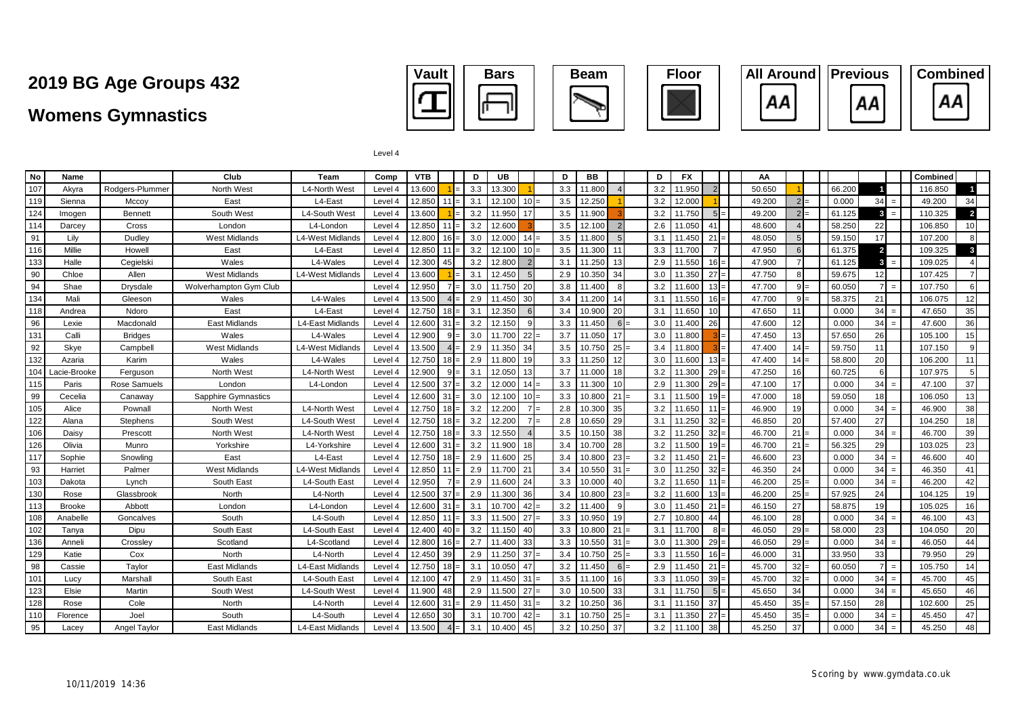## **Womens Gymnastics**







| <b>Previous</b> | <b>Combined</b> |
|-----------------|-----------------|
|                 |                 |

Level 4

| No  | Name          |                | Club                          | Team                    | Comp    | <b>VTB</b> |    | Đ   | UB     |                  | D   | BB     |                 | D   | <b>FX</b> |                 | АΑ     |                 |        |                | Combined |                |
|-----|---------------|----------------|-------------------------------|-------------------------|---------|------------|----|-----|--------|------------------|-----|--------|-----------------|-----|-----------|-----------------|--------|-----------------|--------|----------------|----------|----------------|
| 107 | Akyra         | Rodgers-Plumme | North West                    | L4-North West           | Level 4 | 13.600     |    | 3.3 | 13.300 |                  | 3.3 | 11.800 |                 | 3.2 | 11.950    | $\mathcal{P}$   | 50.650 |                 | 66.200 |                | 116.850  |                |
| 119 | Sienna        | Mccoy          | East                          | L4-East                 | Level 4 | 12.850     | 11 | 3.1 | 12.100 | $10 =$           | 3.5 | 12.250 |                 | 3.2 | 12.000    |                 | 49.200 | $2l =$          | 0.000  | 34             | 49.200   | 34             |
| 124 | Imogen        | Bennett        | South West                    | L4-South West           | Level 4 | 13.600     |    | 3.2 | 11.950 | 17 <sup>1</sup>  | 3.5 | 11.900 |                 | 3.2 | 11.750    | $5l =$          | 49.200 | $2l =$          | 61.125 | $\mathbf{3}$   | 110.325  | $\overline{2}$ |
| 114 | Darcey        | Cross          | London                        | L4-London               | Level 4 | 12.850     | 11 | 3.2 | 12.600 |                  | 3.5 | 12.100 |                 | 2.6 | 11.050    | 41              | 48.600 | $\overline{4}$  | 58.250 | 22             | 106.850  | 10             |
| 91  | Lilv          | Dudley         | <b>West Midlands</b>          | L4-West Midlands        | Level 4 | 12.800     | 16 | 3.0 | 12.000 | $14 =$           | 3.5 | 11.800 |                 | 3.1 | 11.450    | 21              | 48.050 | $5\overline{)}$ | 59.150 | 17             | 107.200  |                |
| 116 | Millie        | Howell         | East                          | L4-East                 | Level 4 | 12.850     |    | 3.2 | 12.100 | 10               | 3.5 | 11.300 |                 | 3.3 | 11.700    | $\overline{7}$  | 47.950 | 6               | 61.375 | $\overline{2}$ | 109.325  | $\mathbf{3}$   |
| 133 | Halle         | Cegielski      | Wales                         | L4-Wales                | Level 4 | 12.300     | 45 | 3.2 | 12,800 |                  | 3.1 | 11.250 | 13              | 2.9 | 11.550    | $16 =$          | 47.900 | $\overline{7}$  | 61.125 | $\mathbf{R}$   | 109.025  |                |
| 90  | Chloe         | Allen          | <b>West Midlands</b>          | <b>L4-West Midlands</b> | Level 4 | 13.600     |    | 3.1 | 12.450 |                  | 2.9 | 10.350 | 34              | 3.0 | 11.350    | $27 =$          | 47.750 | 8               | 59.675 | 12             | 107.425  |                |
| 94  | Shae          | Drysdale       | <b>Wolverhampton Gym Club</b> |                         | Level 4 | 12.950     |    | 3.0 | 11.750 | <b>20</b>        | 3.8 | 11.400 |                 | 3.2 | 11.600    | $13 =$          | 47.700 | $9 =$           | 60.050 |                | 107.750  |                |
| 134 | Mali          | Gleeson        | Wales                         | L4-Wales                | Level 4 | 13.500     |    | 2.9 | 11.450 | 30I              | 3.4 | 11.200 |                 | 3.1 | 11.550    | $16 =$          | 47.700 | $9 =$           | 58.375 | 21             | 106.075  | 12             |
| 118 | Andrea        | Ndoro          | East                          | L4-East                 | Level 4 | 12.750     | 18 | 3.1 | 12.350 | $6 \overline{6}$ | 3.4 | 10.900 | <b>20</b>       | 3.1 | 11.650    | 10              | 47.650 | 11              | 0.000  | 34             | 47.650   | 35             |
| 96  | Lexie         | Macdonald      | East Midlands                 | L4-East Midlands        | Level 4 | 12.600     | 31 | 3.2 | 12.150 |                  | 3.3 | 11.450 | 61              | 3.0 | 11.400    | <b>26</b>       | 47.600 | 12 <sup>1</sup> | 0.000  | 34             | 47.600   | 36             |
| 131 | Calli         | <b>Bridges</b> | Wales                         | L4-Wales                | Level 4 | 12.900     |    | 3.0 | 11.700 | 22               | 3.7 | 11.050 | 17              | 3.0 | 11.800    |                 | 47.450 | 13              | 57.650 | 26             | 105.100  | 15             |
| 92  | Skye          | Campbell       | <b>West Midlands</b>          | <b>L4-West Midlands</b> | Level 4 | 13.500     |    | 2.9 | 11.350 | 34               | 3.5 | 10.750 | $25 =$          | 3.4 | 11.800    |                 | 47.400 | $14 =$          | 59.750 | 11             | 107.150  |                |
| 132 | Azaria        | Karim          | Wales                         | L4-Wales                | Level 4 | 12.750     | 18 | 2.9 | 11.800 | 19               | 3.3 | 11.250 | 12 <sub>l</sub> | 3.0 | 11.600    | $13 =$          | 47.400 | $14 =$          | 58.800 | 20             | 106.200  |                |
| 104 | Lacie-Brooke  | Ferauson       | North West                    | L4-North West           | Level 4 | 12.900     |    | 3.1 | 12.050 | 13               | 3.7 | 11.000 | 18 <sup>1</sup> | 3.2 | 11.300    | $29 =$          | 47.250 | 16              | 60.725 | $\epsilon$     | 107.975  |                |
| 115 | Paris         | Rose Samuels   | London                        | L4-London               | Level 4 | 12.500     | 37 | 3.2 | 12.000 | 14 $=$           | 3.3 | 11.300 | 10 <sup>1</sup> | 2.9 | 11.300    | $29 =$          | 47.100 | 17              | 0.000  | 34<br>$\equiv$ | 47.100   | 37             |
| 99  | Cecelia       | Canaway        | Sapphire Gymnastics           |                         | Level 4 | 12.600     | 31 | 3.0 | 12.100 | $10 =$           | 3.3 | 10.800 | 21              | 3.1 | 11.500    | $19 =$          | 47.000 | 18              | 59.050 | 18             | 106.050  | 13             |
| 105 | Alice         | Pownall        | North West                    | L4-North West           | Level 4 | 12.750     | 18 | 3.2 | 12.200 |                  | 2.8 | 10.300 | 35              | 3.2 | 11.650    |                 | 46.900 | 19              | 0.000  | 34             | 46.900   | 38             |
| 122 | Alana         | Stephens       | South West                    | L4-South West           | Level 4 | 12.750     |    | 3.2 | 12.200 |                  | 2.8 | 10.650 | 29              | 3.1 | 11.250    | $32 =$          | 46.850 | 20              | 57,400 | 27             | 104.250  | 18             |
| 106 | Daisy         | Prescott       | North West                    | L4-North West           | Level 4 | 12.750     |    | 3.3 | 12.550 |                  | 3.5 | 10.150 | 38              | 3.2 | 11.250    | $32 =$          | 46.700 | $21 =$          | 0.000  | 34             | 46.700   | 39             |
| 126 | Olivia        | Munro          | Yorkshire                     | L4-Yorkshire            | Level 4 | 12.600     | 31 | 3.2 | 11.900 | 18 <sup>l</sup>  | 3.4 | 10.700 | 28              | 3.2 | 11.500    | $19 =$          | 46.700 | $21 =$          | 56.325 | 29             | 103.025  | 23             |
| 117 | Sophie        | Snowling       | East                          | L4-East                 | Level 4 | 12.750     | 18 | 2.9 | 11.600 | 25               | 3.4 | 10.800 | 23              | 3.2 | 11.450    | 21              | 46.600 | 23              | 0.000  | 34             | 46.600   | 40             |
| 93  | Harriet       | Palmer         | <b>West Midlands</b>          | <b>L4-West Midlands</b> | Level 4 | 12.850     |    | 2.9 | 11.700 | 21               | 3.4 | 10.550 | 311             | 3.0 | 11.250    | $32 =$          | 46.350 | 24              | 0.000  | 34             | 46.350   | 41             |
| 103 | Dakota        | Lynch          | South East                    | L4-South East           | Level 4 | 12.950     |    | 2.9 | 11.600 | 24               | 3.3 | 10.000 | 40              | 3.2 | 11.650    |                 | 46.200 | $25 =$          | 0.000  | 34             | 46.200   | 42             |
| 130 | Rose          | Glassbrook     | North                         | L4-North                | Level 4 | 12.500     | 37 | 2.9 | 11.300 | 36               | 3.4 | 10.800 | 23              | 3.2 | 11.600    |                 | 46.200 | $25 =$          | 57.925 | 24             | 104.125  | 19             |
| 113 | <b>Brooke</b> | Abbott         | London                        | L4-London               | Level 4 | 12.600     | 31 | 3.1 | 10.700 | $42 =$           | 3.2 | 11.400 |                 | 3.0 | 11.450    | 21              | 46.150 | 27              | 58.875 | 19             | 105.025  | 16             |
| 108 | Anabelle      | Goncalves      | South                         | L4-South                | Level 4 | 12.850     | 11 | 3.3 | 11.500 | 27               | 3.3 | 10.950 | 19              | 2.7 | 10.800    | 44              | 46.100 | 28              | 0.000  | 34             | 46.100   | 43             |
| 102 | Tanya         | Dipu           | South East                    | L4-South East           | Level 4 | 12.400     | 40 | 3.2 | 11.150 | 40               | 3.3 | 10.800 | 21              | 3.1 | 11.700    | $8I=$           | 46.050 | $29 =$          | 58,000 | 23             | 104.050  | 20             |
| 136 | Anneli        | Crosslev       | Scotland                      | L4-Scotland             | Level 4 | 12.800     | 16 | 2.7 | 11.400 | 33 <sub>1</sub>  | 3.3 | 10.550 | -31 <b>I</b>    | 3.0 | 11.300    | $29 =$          | 46.050 | $29 =$          | 0.000  | 34             | 46.050   | 44             |
| 129 | Katie         | Cox            | North                         | L4-North                | Level 4 | 12.450     | 39 | 2.9 | 11.250 | 371              | 3.4 | 10.750 | $25 =$          | 3.3 | 11.550    | $16 =$          | 46.000 | 31              | 33.950 | 33             | 79.950   | 29             |
| 98  | Cassie        | Tavlor         | <b>East Midlands</b>          | L4-East Midlands        | Level 4 | 12.750     | 18 | 3.1 | 10.050 | 47               | 3.2 | 11.450 | 6 I             | 2.9 | 11.450    | $21 =$          | 45.700 | $32 =$          | 60.050 | 7<br>- 11      | 105.750  | 14             |
| 101 | Lucy          | Marshall       | South East                    | L4-South East           | Level 4 | 12.100     | 47 | 2.9 | 11.450 | 31               | 3.5 | 11.100 | 16              | 3.3 | 11.050    | $39 =$          | 45.700 | $32 =$          | 0.000  | 34             | 45.700   | 45             |
| 123 | Elsie         | Martin         | South West                    | L4-South West           | Level 4 | 11.900     | 48 | 2.9 | 11.500 | 27               | 3.0 | 10.500 | 33              | 3.1 | 11.750    | $5 =$           | 45.650 | 34              | 0.000  | 34             | 45.650   | 46             |
| 128 | Rose          | Cole           | North                         | L4-North                | Level 4 | 12.600     | 31 | 2.9 | 11.450 | 31               | 3.2 | 10.250 | 36              | 3.1 | 11.150    | 37              | 45.450 | $35 =$          | 57.150 | 28             | 102.600  | 25             |
| 110 | Florence      | Joel           | South                         | L4-South                | Level 4 | 12.650     | 30 | 3.1 | 10.700 | $42 =$           | 3.1 | 10.750 | <b>251</b>      | 3.1 | 11.350    | $27 =$          | 45.450 | $35 =$          | 0.000  | 34             | 45.450   | 47             |
| 95  | Lacey         | Angel Taylor   | East Midlands                 | L4-East Midlands        | Level 4 | 13.500     |    | 3.1 | 10.400 | 45               | 3.2 | 10.250 | 37              | 3.2 | 11.100    | 38 <sup>l</sup> | 45.250 | 37              | 0.000  | 34             | 45.250   |                |